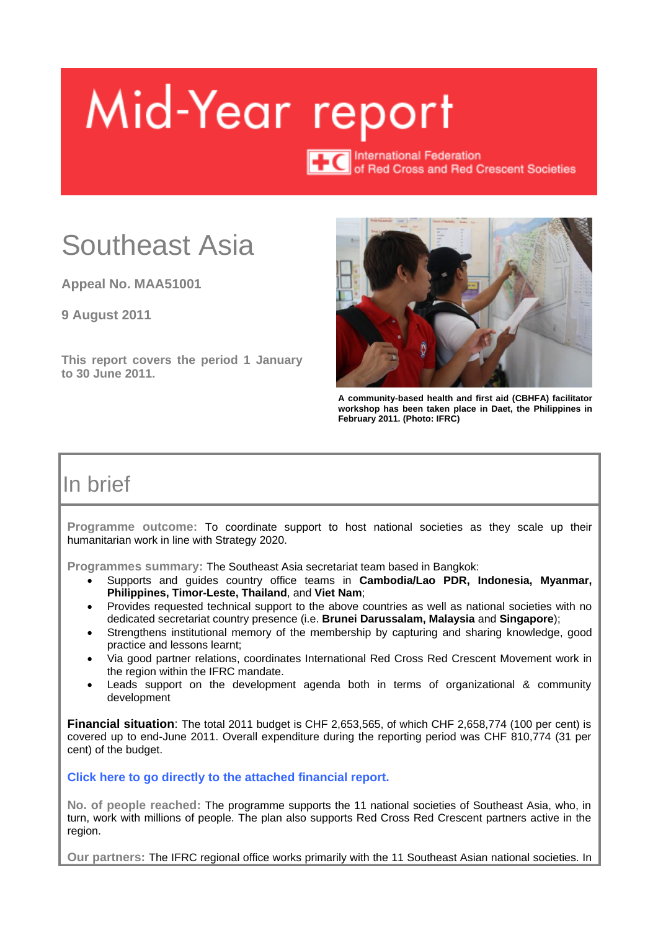# <span id="page-0-0"></span>Mid-Year report

**TC**<br>
International Federation<br>
ICC of Bed Cross and Bed C of Red Cross and Red Crescent Societies

## Southeast Asia

**Appeal No. MAA51001**

**9 August 2011**

**This report covers the period 1 January to 30 June 2011.**



**A community-based health and first aid (CBHFA) facilitator workshop has been taken place in Daet, the Philippines in February 2011. (Photo: IFRC)**

## In brief

**Programme outcome:** To coordinate support to host national societies as they scale up their humanitarian work in line with Strategy 2020.

**Programmes summary:** The Southeast Asia secretariat team based in Bangkok:

- Supports and guides country office teams in **Cambodia/Lao PDR, Indonesia, Myanmar, Philippines, Timor-Leste, Thailand**, and **Viet Nam**;
- Provides requested technical support to the above countries as well as national societies with no dedicated secretariat country presence (i.e. **Brunei Darussalam, Malaysia** and **Singapore**);
- Strengthens institutional memory of the membership by capturing and sharing knowledge, good practice and lessons learnt;
- Via good partner relations, coordinates International Red Cross Red Crescent Movement work in the region within the IFRC mandate.
- Leads support on the development agenda both in terms of organizational & community development

**Financial situation**: The total 2011 budget is CHF 2,653,565, of which CHF 2,658,774 (100 per cent) is covered up to end-June 2011. Overall expenditure during the reporting period was CHF 810,774 (31 per cent) of the budget.

**Click here to go directly to [the attached financial report.](#page-15-0)**

**No. of people reached:** The programme supports the 11 national societies of Southeast Asia, who, in turn, work with millions of people. The plan also supports Red Cross Red Crescent partners active in the region.

**Our partners:** The IFRC regional office works primarily with the 11 Southeast Asian national societies. In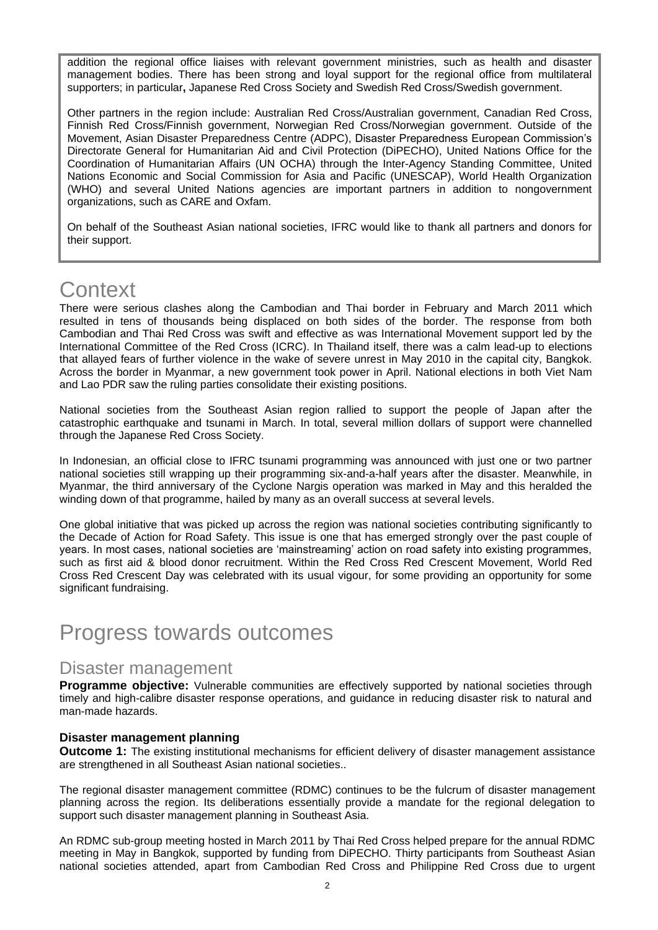addition the regional office liaises with relevant government ministries, such as health and disaster management bodies. There has been strong and loyal support for the regional office from multilateral supporters; in particular**,** Japanese Red Cross Society and Swedish Red Cross/Swedish government.

Other partners in the region include: Australian Red Cross/Australian government, Canadian Red Cross, Finnish Red Cross/Finnish government, Norwegian Red Cross/Norwegian government. Outside of the Movement, Asian Disaster Preparedness Centre (ADPC), Disaster Preparedness European Commission"s Directorate General for Humanitarian Aid and Civil Protection (DiPECHO), United Nations Office for the Coordination of Humanitarian Affairs (UN OCHA) through the Inter-Agency Standing Committee, United Nations Economic and Social Commission for Asia and Pacific (UNESCAP), World Health Organization (WHO) and several United Nations agencies are important partners in addition to nongovernment organizations, such as CARE and Oxfam.

On behalf of the Southeast Asian national societies, IFRC would like to thank all partners and donors for their support.

## **Context**

There were serious clashes along the Cambodian and Thai border in February and March 2011 which resulted in tens of thousands being displaced on both sides of the border. The response from both Cambodian and Thai Red Cross was swift and effective as was International Movement support led by the International Committee of the Red Cross (ICRC). In Thailand itself, there was a calm lead-up to elections that allayed fears of further violence in the wake of severe unrest in May 2010 in the capital city, Bangkok. Across the border in Myanmar, a new government took power in April. National elections in both Viet Nam and Lao PDR saw the ruling parties consolidate their existing positions.

National societies from the Southeast Asian region rallied to support the people of Japan after the catastrophic earthquake and tsunami in March. In total, several million dollars of support were channelled through the Japanese Red Cross Society.

In Indonesian, an official close to IFRC tsunami programming was announced with just one or two partner national societies still wrapping up their programming six-and-a-half years after the disaster. Meanwhile, in Myanmar, the third anniversary of the Cyclone Nargis operation was marked in May and this heralded the winding down of that programme, hailed by many as an overall success at several levels.

One global initiative that was picked up across the region was national societies contributing significantly to the Decade of Action for Road Safety. This issue is one that has emerged strongly over the past couple of years. In most cases, national societies are "mainstreaming" action on road safety into existing programmes, such as first aid & blood donor recruitment. Within the Red Cross Red Crescent Movement, World Red Cross Red Crescent Day was celebrated with its usual vigour, for some providing an opportunity for some significant fundraising.

## Progress towards outcomes

## Disaster management

**Programme objective:** Vulnerable communities are effectively supported by national societies through timely and high-calibre disaster response operations, and guidance in reducing disaster risk to natural and man-made hazards.

## **Disaster management planning**

**Outcome 1:** The existing institutional mechanisms for efficient delivery of disaster management assistance are strengthened in all Southeast Asian national societies..

The regional disaster management committee (RDMC) continues to be the fulcrum of disaster management planning across the region. Its deliberations essentially provide a mandate for the regional delegation to support such disaster management planning in Southeast Asia.

An RDMC sub-group meeting hosted in March 2011 by Thai Red Cross helped prepare for the annual RDMC meeting in May in Bangkok, supported by funding from DiPECHO. Thirty participants from Southeast Asian national societies attended, apart from Cambodian Red Cross and Philippine Red Cross due to urgent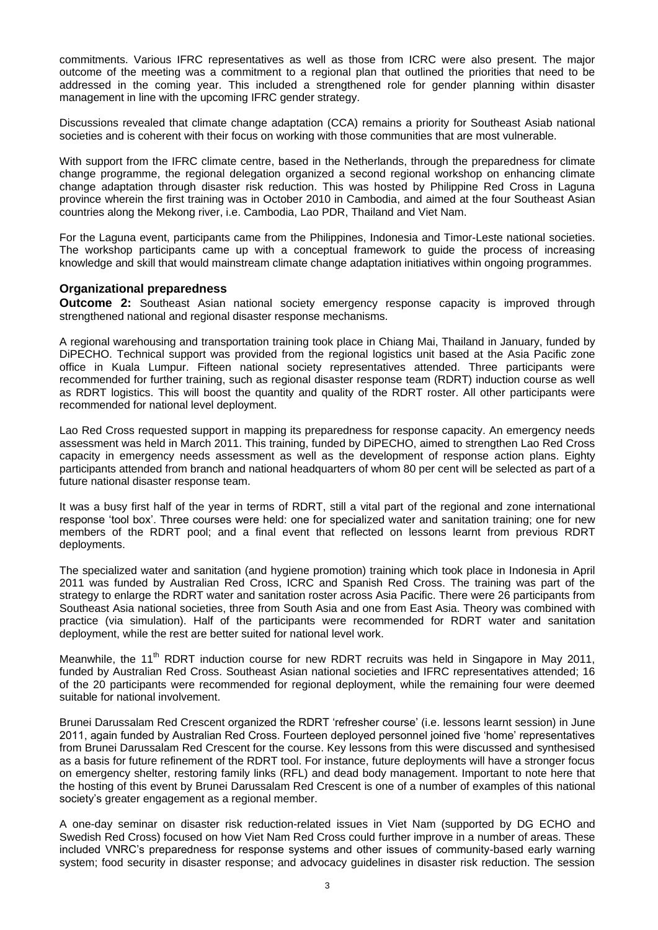commitments. Various IFRC representatives as well as those from ICRC were also present. The major outcome of the meeting was a commitment to a regional plan that outlined the priorities that need to be addressed in the coming year. This included a strengthened role for gender planning within disaster management in line with the upcoming IFRC gender strategy.

Discussions revealed that climate change adaptation (CCA) remains a priority for Southeast Asiab national societies and is coherent with their focus on working with those communities that are most vulnerable.

With support from the IFRC climate centre, based in the Netherlands, through the preparedness for climate change programme, the regional delegation organized a second regional workshop on enhancing climate change adaptation through disaster risk reduction. This was hosted by Philippine Red Cross in Laguna province wherein the first training was in October 2010 in Cambodia, and aimed at the four Southeast Asian countries along the Mekong river, i.e. Cambodia, Lao PDR, Thailand and Viet Nam.

For the Laguna event, participants came from the Philippines, Indonesia and Timor-Leste national societies. The workshop participants came up with a conceptual framework to guide the process of increasing knowledge and skill that would mainstream climate change adaptation initiatives within ongoing programmes.

#### **Organizational preparedness**

**Outcome 2:** Southeast Asian national society emergency response capacity is improved through strengthened national and regional disaster response mechanisms.

A regional warehousing and transportation training took place in Chiang Mai, Thailand in January, funded by DiPECHO. Technical support was provided from the regional logistics unit based at the Asia Pacific zone office in Kuala Lumpur. Fifteen national society representatives attended. Three participants were recommended for further training, such as regional disaster response team (RDRT) induction course as well as RDRT logistics. This will boost the quantity and quality of the RDRT roster. All other participants were recommended for national level deployment.

Lao Red Cross requested support in mapping its preparedness for response capacity. An emergency needs assessment was held in March 2011. This training, funded by DiPECHO, aimed to strengthen Lao Red Cross capacity in emergency needs assessment as well as the development of response action plans. Eighty participants attended from branch and national headquarters of whom 80 per cent will be selected as part of a future national disaster response team.

It was a busy first half of the year in terms of RDRT, still a vital part of the regional and zone international response "tool box". Three courses were held: one for specialized water and sanitation training; one for new members of the RDRT pool; and a final event that reflected on lessons learnt from previous RDRT deployments.

The specialized water and sanitation (and hygiene promotion) training which took place in Indonesia in April 2011 was funded by Australian Red Cross, ICRC and Spanish Red Cross. The training was part of the strategy to enlarge the RDRT water and sanitation roster across Asia Pacific. There were 26 participants from Southeast Asia national societies, three from South Asia and one from East Asia. Theory was combined with practice (via simulation). Half of the participants were recommended for RDRT water and sanitation deployment, while the rest are better suited for national level work.

Meanwhile, the 11<sup>th</sup> RDRT induction course for new RDRT recruits was held in Singapore in May 2011, funded by Australian Red Cross. Southeast Asian national societies and IFRC representatives attended; 16 of the 20 participants were recommended for regional deployment, while the remaining four were deemed suitable for national involvement.

Brunei Darussalam Red Crescent organized the RDRT "refresher course" (i.e. lessons learnt session) in June 2011, again funded by Australian Red Cross. Fourteen deployed personnel joined five "home" representatives from Brunei Darussalam Red Crescent for the course. Key lessons from this were discussed and synthesised as a basis for future refinement of the RDRT tool. For instance, future deployments will have a stronger focus on emergency shelter, restoring family links (RFL) and dead body management. Important to note here that the hosting of this event by Brunei Darussalam Red Crescent is one of a number of examples of this national society's greater engagement as a regional member.

A one-day seminar on disaster risk reduction-related issues in Viet Nam (supported by DG ECHO and Swedish Red Cross) focused on how Viet Nam Red Cross could further improve in a number of areas. These included VNRC"s preparedness for response systems and other issues of community-based early warning system; food security in disaster response; and advocacy guidelines in disaster risk reduction. The session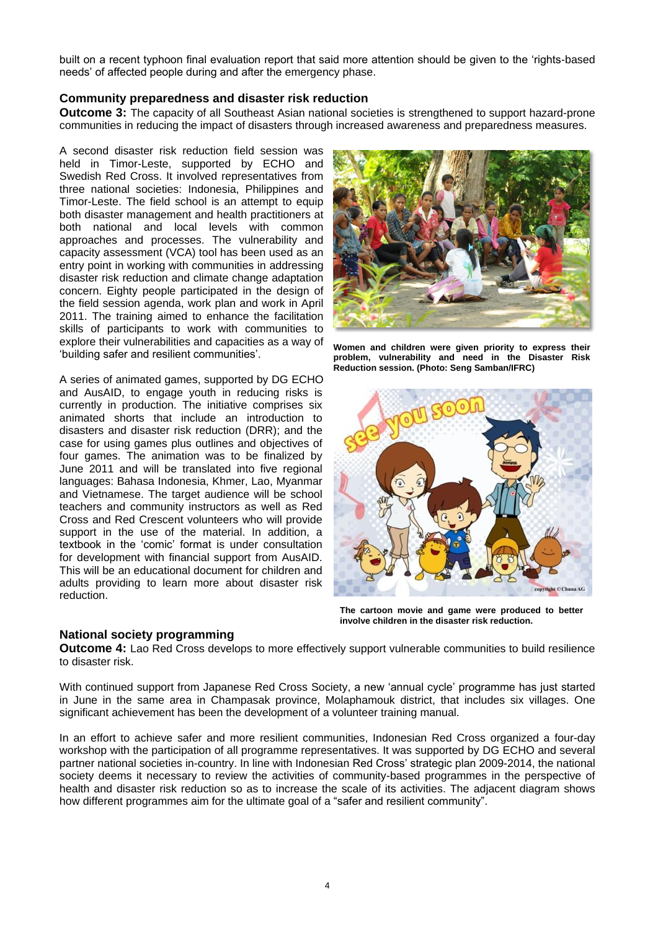built on a recent typhoon final evaluation report that said more attention should be given to the "rights-based needs" of affected people during and after the emergency phase.

#### **Community preparedness and disaster risk reduction**

**Outcome 3:** The capacity of all Southeast Asian national societies is strengthened to support hazard-prone communities in reducing the impact of disasters through increased awareness and preparedness measures.

A second disaster risk reduction field session was held in Timor-Leste, supported by ECHO and Swedish Red Cross. It involved representatives from three national societies: Indonesia, Philippines and Timor-Leste. The field school is an attempt to equip both disaster management and health practitioners at both national and local levels with common approaches and processes. The vulnerability and capacity assessment (VCA) tool has been used as an entry point in working with communities in addressing disaster risk reduction and climate change adaptation concern. Eighty people participated in the design of the field session agenda, work plan and work in April 2011. The training aimed to enhance the facilitation skills of participants to work with communities to explore their vulnerabilities and capacities as a way of "building safer and resilient communities".

A series of animated games, supported by DG ECHO and AusAID, to engage youth in reducing risks is currently in production. The initiative comprises six animated shorts that include an introduction to disasters and disaster risk reduction (DRR); and the case for using games plus outlines and objectives of four games. The animation was to be finalized by June 2011 and will be translated into five regional languages: Bahasa Indonesia, Khmer, Lao, Myanmar and Vietnamese. The target audience will be school teachers and community instructors as well as Red Cross and Red Crescent volunteers who will provide support in the use of the material. In addition, a textbook in the "comic" format is under consultation for development with financial support from AusAID. This will be an educational document for children and adults providing to learn more about disaster risk reduction.

## **National society programming**



**Women and children were given priority to express their problem, vulnerability and need in the Disaster Risk Reduction session. (Photo: Seng Samban/IFRC)**



**The cartoon movie and game were produced to better involve children in the disaster risk reduction.**

**Outcome 4:** Lao Red Cross develops to more effectively support vulnerable communities to build resilience to disaster risk.

With continued support from Japanese Red Cross Society, a new "annual cycle" programme has just started in June in the same area in Champasak province, Molaphamouk district, that includes six villages. One significant achievement has been the development of a volunteer training manual.

In an effort to achieve safer and more resilient communities, Indonesian Red Cross organized a four-day workshop with the participation of all programme representatives. It was supported by DG ECHO and several partner national societies in-country. In line with Indonesian Red Cross" strategic plan 2009-2014, the national society deems it necessary to review the activities of community-based programmes in the perspective of health and disaster risk reduction so as to increase the scale of its activities. The adjacent diagram shows how different programmes aim for the ultimate goal of a "safer and resilient community".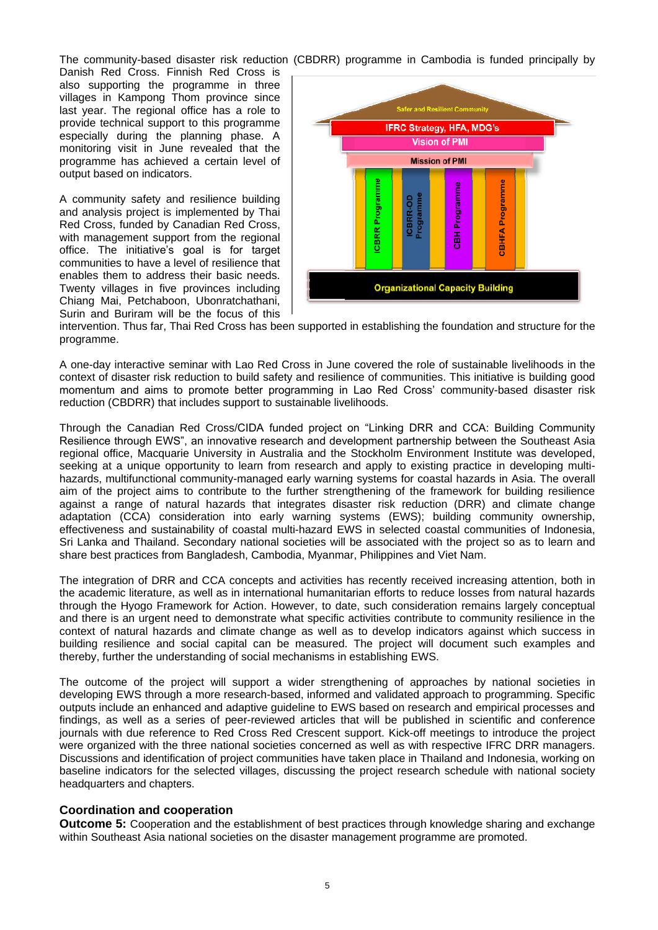The community-based disaster risk reduction (CBDRR) programme in Cambodia is funded principally by

Danish Red Cross. Finnish Red Cross is also supporting the programme in three villages in Kampong Thom province since last year. The regional office has a role to provide technical support to this programme especially during the planning phase. A monitoring visit in June revealed that the programme has achieved a certain level of output based on indicators.

A community safety and resilience building and analysis project is implemented by Thai Red Cross, funded by Canadian Red Cross, with management support from the regional office. The initiative's goal is for target communities to have a level of resilience that enables them to address their basic needs. Twenty villages in five provinces including Chiang Mai, Petchaboon, Ubonratchathani, Surin and Buriram will be the focus of this



intervention. Thus far, Thai Red Cross has been supported in establishing the foundation and structure for the programme.

A one-day interactive seminar with Lao Red Cross in June covered the role of sustainable livelihoods in the context of disaster risk reduction to build safety and resilience of communities. This initiative is building good momentum and aims to promote better programming in Lao Red Cross" community-based disaster risk reduction (CBDRR) that includes support to sustainable livelihoods.

Through the Canadian Red Cross/CIDA funded project on "Linking DRR and CCA: Building Community Resilience through EWS", an innovative research and development partnership between the Southeast Asia regional office, Macquarie University in Australia and the Stockholm Environment Institute was developed, seeking at a unique opportunity to learn from research and apply to existing practice in developing multihazards, multifunctional community-managed early warning systems for coastal hazards in Asia. The overall aim of the project aims to contribute to the further strengthening of the framework for building resilience against a range of natural hazards that integrates disaster risk reduction (DRR) and climate change adaptation (CCA) consideration into early warning systems (EWS); building community ownership, effectiveness and sustainability of coastal multi-hazard EWS in selected coastal communities of Indonesia, Sri Lanka and Thailand. Secondary national societies will be associated with the project so as to learn and share best practices from Bangladesh, Cambodia, Myanmar, Philippines and Viet Nam.

The integration of DRR and CCA concepts and activities has recently received increasing attention, both in the academic literature, as well as in international humanitarian efforts to reduce losses from natural hazards through the Hyogo Framework for Action. However, to date, such consideration remains largely conceptual and there is an urgent need to demonstrate what specific activities contribute to community resilience in the context of natural hazards and climate change as well as to develop indicators against which success in building resilience and social capital can be measured. The project will document such examples and thereby, further the understanding of social mechanisms in establishing EWS.

The outcome of the project will support a wider strengthening of approaches by national societies in developing EWS through a more research-based, informed and validated approach to programming. Specific outputs include an enhanced and adaptive guideline to EWS based on research and empirical processes and findings, as well as a series of peer-reviewed articles that will be published in scientific and conference journals with due reference to Red Cross Red Crescent support. Kick-off meetings to introduce the project were organized with the three national societies concerned as well as with respective IFRC DRR managers. Discussions and identification of project communities have taken place in Thailand and Indonesia, working on baseline indicators for the selected villages, discussing the project research schedule with national society headquarters and chapters.

## **Coordination and cooperation**

**Outcome 5:** Cooperation and the establishment of best practices through knowledge sharing and exchange within Southeast Asia national societies on the disaster management programme are promoted.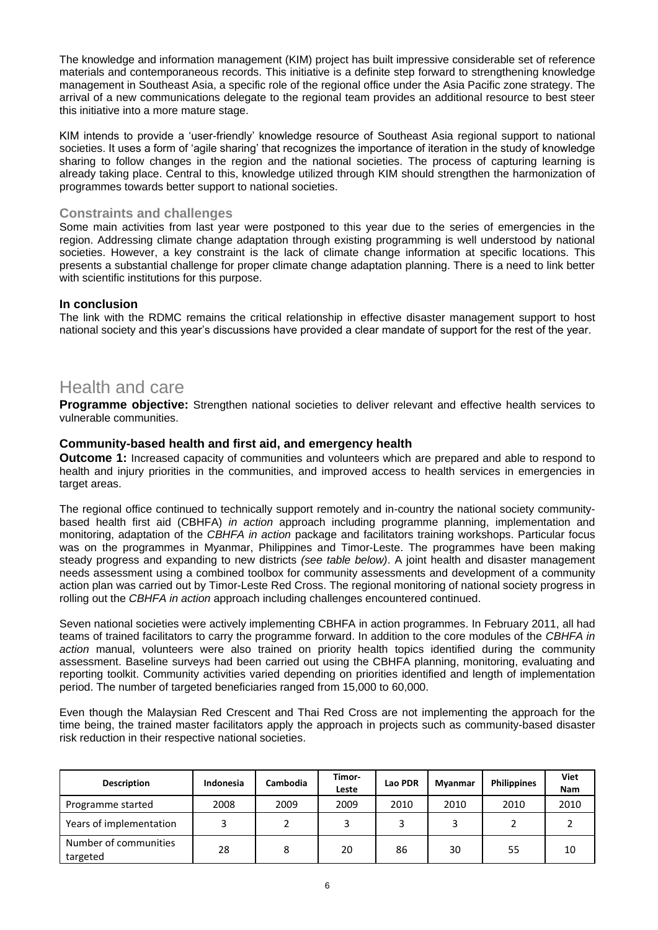The knowledge and information management (KIM) project has built impressive considerable set of reference materials and contemporaneous records. This initiative is a definite step forward to strengthening knowledge management in Southeast Asia, a specific role of the regional office under the Asia Pacific zone strategy. The arrival of a new communications delegate to the regional team provides an additional resource to best steer this initiative into a more mature stage.

KIM intends to provide a "user-friendly" knowledge resource of Southeast Asia regional support to national societies. It uses a form of "agile sharing" that recognizes the importance of iteration in the study of knowledge sharing to follow changes in the region and the national societies. The process of capturing learning is already taking place. Central to this, knowledge utilized through KIM should strengthen the harmonization of programmes towards better support to national societies.

## **Constraints and challenges**

Some main activities from last year were postponed to this year due to the series of emergencies in the region. Addressing climate change adaptation through existing programming is well understood by national societies. However, a key constraint is the lack of climate change information at specific locations. This presents a substantial challenge for proper climate change adaptation planning. There is a need to link better with scientific institutions for this purpose.

## **In conclusion**

The link with the RDMC remains the critical relationship in effective disaster management support to host national society and this year"s discussions have provided a clear mandate of support for the rest of the year.

## Health and care

**Programme objective:** Strengthen national societies to deliver relevant and effective health services to vulnerable communities.

## **Community-based health and first aid, and emergency health**

**Outcome 1:** Increased capacity of communities and volunteers which are prepared and able to respond to health and injury priorities in the communities, and improved access to health services in emergencies in target areas.

The regional office continued to technically support remotely and in-country the national society communitybased health first aid (CBHFA) *in action* approach including programme planning, implementation and monitoring, adaptation of the *CBHFA in action* package and facilitators training workshops. Particular focus was on the programmes in Myanmar, Philippines and Timor-Leste. The programmes have been making steady progress and expanding to new districts *(see table below)*. A joint health and disaster management needs assessment using a combined toolbox for community assessments and development of a community action plan was carried out by Timor-Leste Red Cross. The regional monitoring of national society progress in rolling out the *CBHFA in action* approach including challenges encountered continued.

Seven national societies were actively implementing CBHFA in action programmes. In February 2011, all had teams of trained facilitators to carry the programme forward. In addition to the core modules of the *CBHFA in action* manual, volunteers were also trained on priority health topics identified during the community assessment. Baseline surveys had been carried out using the CBHFA planning, monitoring, evaluating and reporting toolkit. Community activities varied depending on priorities identified and length of implementation period. The number of targeted beneficiaries ranged from 15,000 to 60,000.

Even though the Malaysian Red Crescent and Thai Red Cross are not implementing the approach for the time being, the trained master facilitators apply the approach in projects such as community-based disaster risk reduction in their respective national societies.

| <b>Description</b>                | Indonesia | Cambodia | Timor-<br>Leste | Lao PDR | <b>Mvanmar</b> | <b>Philippines</b> | Viet<br><b>Nam</b> |
|-----------------------------------|-----------|----------|-----------------|---------|----------------|--------------------|--------------------|
| Programme started                 | 2008      | 2009     | 2009            | 2010    | 2010           | 2010               | 2010               |
| Years of implementation           |           |          |                 | 3       |                |                    |                    |
| Number of communities<br>targeted | 28        | 8        | 20              | 86      | 30             | 55                 | 10                 |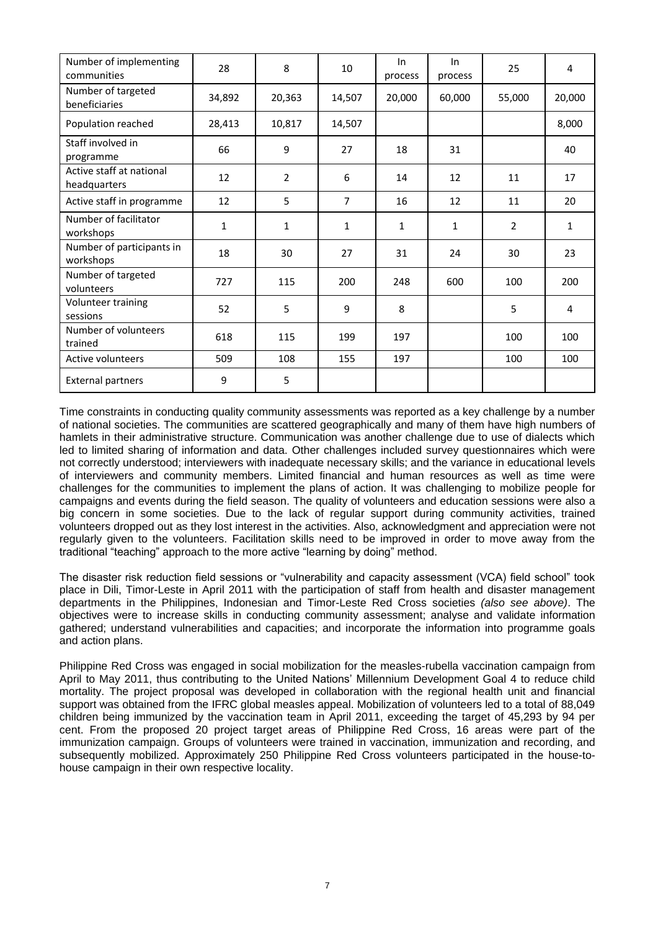| Number of implementing<br>communities    | 28     | 8              | 10     | In<br>process | In<br>process | 25             | 4      |
|------------------------------------------|--------|----------------|--------|---------------|---------------|----------------|--------|
| Number of targeted<br>beneficiaries      | 34,892 | 20,363         | 14,507 | 20,000        | 60,000        | 55,000         | 20,000 |
| Population reached                       | 28,413 | 10,817         | 14,507 |               |               |                | 8,000  |
| Staff involved in<br>programme           | 66     | 9              | 27     | 18            | 31            |                | 40     |
| Active staff at national<br>headquarters | 12     | $\overline{2}$ | 6      | 14            | 12            | 11             | 17     |
| Active staff in programme                | 12     | 5              | 7      | 16            | 12            | 11             | 20     |
| Number of facilitator<br>workshops       | 1      | 1              | 1      | 1             | 1             | $\overline{2}$ | 1      |
| Number of participants in<br>workshops   | 18     | 30             | 27     | 31            | 24            | 30             | 23     |
| Number of targeted<br>volunteers         | 727    | 115            | 200    | 248           | 600           | 100            | 200    |
| Volunteer training<br>sessions           | 52     | 5              | 9      | 8             |               | 5              | 4      |
| Number of volunteers<br>trained          | 618    | 115            | 199    | 197           |               | 100            | 100    |
| Active volunteers                        | 509    | 108            | 155    | 197           |               | 100            | 100    |
| <b>External partners</b>                 | 9      | 5              |        |               |               |                |        |

Time constraints in conducting quality community assessments was reported as a key challenge by a number of national societies. The communities are scattered geographically and many of them have high numbers of hamlets in their administrative structure. Communication was another challenge due to use of dialects which led to limited sharing of information and data. Other challenges included survey questionnaires which were not correctly understood; interviewers with inadequate necessary skills; and the variance in educational levels of interviewers and community members. Limited financial and human resources as well as time were challenges for the communities to implement the plans of action. It was challenging to mobilize people for campaigns and events during the field season. The quality of volunteers and education sessions were also a big concern in some societies. Due to the lack of regular support during community activities, trained volunteers dropped out as they lost interest in the activities. Also, acknowledgment and appreciation were not regularly given to the volunteers. Facilitation skills need to be improved in order to move away from the traditional "teaching" approach to the more active "learning by doing" method.

The disaster risk reduction field sessions or "vulnerability and capacity assessment (VCA) field school" took place in Dili, Timor-Leste in April 2011 with the participation of staff from health and disaster management departments in the Philippines, Indonesian and Timor-Leste Red Cross societies *(also see above)*. The objectives were to increase skills in conducting community assessment; analyse and validate information gathered; understand vulnerabilities and capacities; and incorporate the information into programme goals and action plans.

Philippine Red Cross was engaged in social mobilization for the measles-rubella vaccination campaign from April to May 2011, thus contributing to the United Nations" Millennium Development Goal 4 to reduce child mortality. The project proposal was developed in collaboration with the regional health unit and financial support was obtained from the IFRC global measles appeal. Mobilization of volunteers led to a total of 88,049 children being immunized by the vaccination team in April 2011, exceeding the target of 45,293 by 94 per cent. From the proposed 20 project target areas of Philippine Red Cross, 16 areas were part of the immunization campaign. Groups of volunteers were trained in vaccination, immunization and recording, and subsequently mobilized. Approximately 250 Philippine Red Cross volunteers participated in the house-tohouse campaign in their own respective locality.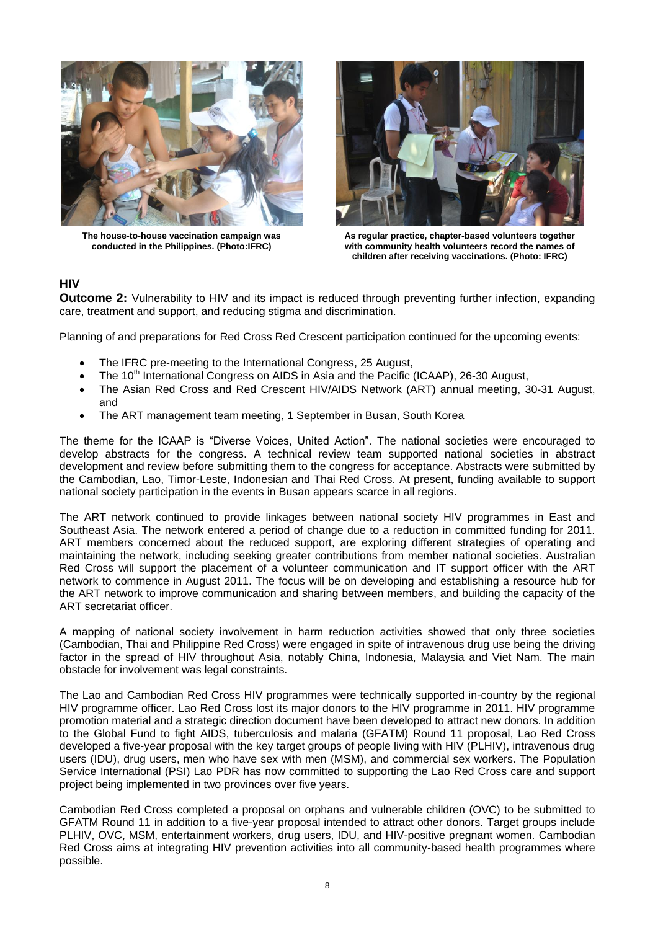

**The house-to-house vaccination campaign was conducted in the Philippines. (Photo:IFRC)**



**As regular practice, chapter-based volunteers together with community health volunteers record the names of children after receiving vaccinations. (Photo: IFRC)**

## **HIV**

**Outcome 2:** Vulnerability to HIV and its impact is reduced through preventing further infection, expanding care, treatment and support, and reducing stigma and discrimination.

Planning of and preparations for Red Cross Red Crescent participation continued for the upcoming events:

- The IFRC pre-meeting to the International Congress, 25 August,
- The 10<sup>th</sup> International Congress on AIDS in Asia and the Pacific (ICAAP), 26-30 August,
- The Asian Red Cross and Red Crescent HIV/AIDS Network (ART) annual meeting, 30-31 August, and
- The ART management team meeting, 1 September in Busan, South Korea

The theme for the ICAAP is "Diverse Voices, United Action". The national societies were encouraged to develop abstracts for the congress. A technical review team supported national societies in abstract development and review before submitting them to the congress for acceptance. Abstracts were submitted by the Cambodian, Lao, Timor-Leste, Indonesian and Thai Red Cross. At present, funding available to support national society participation in the events in Busan appears scarce in all regions.

The ART network continued to provide linkages between national society HIV programmes in East and Southeast Asia. The network entered a period of change due to a reduction in committed funding for 2011. ART members concerned about the reduced support, are exploring different strategies of operating and maintaining the network, including seeking greater contributions from member national societies. Australian Red Cross will support the placement of a volunteer communication and IT support officer with the ART network to commence in August 2011. The focus will be on developing and establishing a resource hub for the ART network to improve communication and sharing between members, and building the capacity of the ART secretariat officer.

A mapping of national society involvement in harm reduction activities showed that only three societies (Cambodian, Thai and Philippine Red Cross) were engaged in spite of intravenous drug use being the driving factor in the spread of HIV throughout Asia, notably China, Indonesia, Malaysia and Viet Nam. The main obstacle for involvement was legal constraints.

The Lao and Cambodian Red Cross HIV programmes were technically supported in-country by the regional HIV programme officer. Lao Red Cross lost its major donors to the HIV programme in 2011. HIV programme promotion material and a strategic direction document have been developed to attract new donors. In addition to the Global Fund to fight AIDS, tuberculosis and malaria (GFATM) Round 11 proposal, Lao Red Cross developed a five-year proposal with the key target groups of people living with HIV (PLHIV), intravenous drug users (IDU), drug users, men who have sex with men (MSM), and commercial sex workers. The Population Service International (PSI) Lao PDR has now committed to supporting the Lao Red Cross care and support project being implemented in two provinces over five years.

Cambodian Red Cross completed a proposal on orphans and vulnerable children (OVC) to be submitted to GFATM Round 11 in addition to a five-year proposal intended to attract other donors. Target groups include PLHIV, OVC, MSM, entertainment workers, drug users, IDU, and HIV-positive pregnant women. Cambodian Red Cross aims at integrating HIV prevention activities into all community-based health programmes where possible.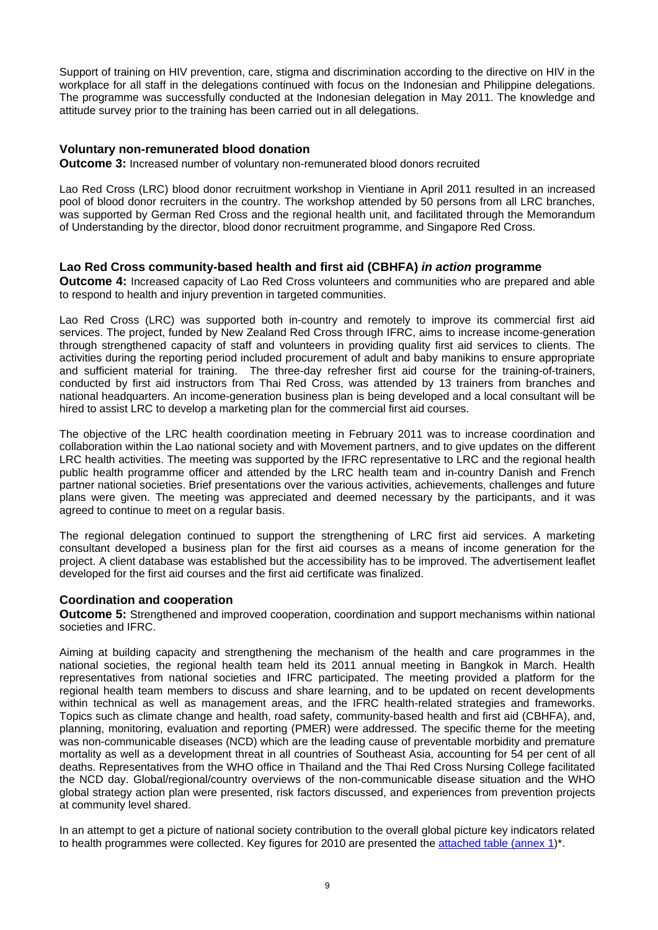<span id="page-8-0"></span>Support of training on HIV prevention, care, stigma and discrimination according to the directive on HIV in the workplace for all staff in the delegations continued with focus on the Indonesian and Philippine delegations. The programme was successfully conducted at the Indonesian delegation in May 2011. The knowledge and attitude survey prior to the training has been carried out in all delegations.

## **Voluntary non-remunerated blood donation**

**Outcome 3:** Increased number of voluntary non-remunerated blood donors recruited

Lao Red Cross (LRC) blood donor recruitment workshop in Vientiane in April 2011 resulted in an increased pool of blood donor recruiters in the country. The workshop attended by 50 persons from all LRC branches, was supported by German Red Cross and the regional health unit, and facilitated through the Memorandum of Understanding by the director, blood donor recruitment programme, and Singapore Red Cross.

## **Lao Red Cross community-based health and first aid (CBHFA)** *in action* **programme**

**Outcome 4:** Increased capacity of Lao Red Cross volunteers and communities who are prepared and able to respond to health and injury prevention in targeted communities.

Lao Red Cross (LRC) was supported both in-country and remotely to improve its commercial first aid services. The project, funded by New Zealand Red Cross through IFRC, aims to increase income-generation through strengthened capacity of staff and volunteers in providing quality first aid services to clients. The activities during the reporting period included procurement of adult and baby manikins to ensure appropriate and sufficient material for training. The three-day refresher first aid course for the training-of-trainers, conducted by first aid instructors from Thai Red Cross, was attended by 13 trainers from branches and national headquarters. An income-generation business plan is being developed and a local consultant will be hired to assist LRC to develop a marketing plan for the commercial first aid courses.

The objective of the LRC health coordination meeting in February 2011 was to increase coordination and collaboration within the Lao national society and with Movement partners, and to give updates on the different LRC health activities. The meeting was supported by the IFRC representative to LRC and the regional health public health programme officer and attended by the LRC health team and in-country Danish and French partner national societies. Brief presentations over the various activities, achievements, challenges and future plans were given. The meeting was appreciated and deemed necessary by the participants, and it was agreed to continue to meet on a regular basis.

The regional delegation continued to support the strengthening of LRC first aid services. A marketing consultant developed a business plan for the first aid courses as a means of income generation for the project. A client database was established but the accessibility has to be improved. The advertisement leaflet developed for the first aid courses and the first aid certificate was finalized.

## **Coordination and cooperation**

**Outcome 5:** Strengthened and improved cooperation, coordination and support mechanisms within national societies and IFRC.

Aiming at building capacity and strengthening the mechanism of the health and care programmes in the national societies, the regional health team held its 2011 annual meeting in Bangkok in March. Health representatives from national societies and IFRC participated. The meeting provided a platform for the regional health team members to discuss and share learning, and to be updated on recent developments within technical as well as management areas, and the IFRC health-related strategies and frameworks. Topics such as climate change and health, road safety, community-based health and first aid (CBHFA), and, planning, monitoring, evaluation and reporting (PMER) were addressed. The specific theme for the meeting was non-communicable diseases (NCD) which are the leading cause of preventable morbidity and premature mortality as well as a development threat in all countries of Southeast Asia, accounting for 54 per cent of all deaths. Representatives from the WHO office in Thailand and the Thai Red Cross Nursing College facilitated the NCD day. Global/regional/country overviews of the non-communicable disease situation and the WHO global strategy action plan were presented, risk factors discussed, and experiences from prevention projects at community level shared.

In an attempt to get a picture of national society contribution to the overall global picture key indicators related to health programmes were collected. Key figures for 2010 are presented the attached [table \(annex 1\)\\*](#page-14-0).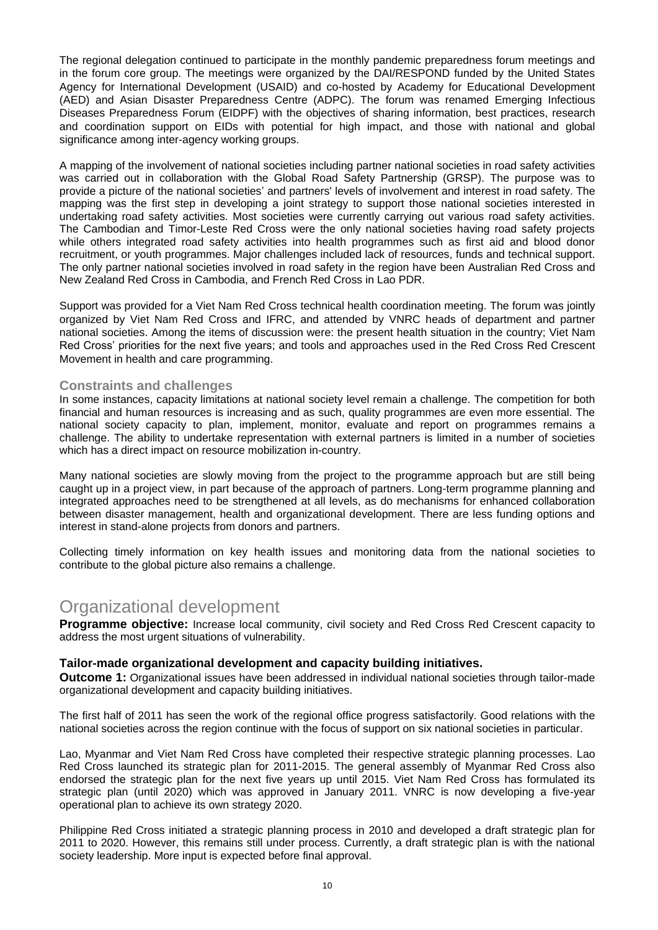The regional delegation continued to participate in the monthly pandemic preparedness forum meetings and in the forum core group. The meetings were organized by the DAI/RESPOND funded by the United States Agency for International Development (USAID) and co-hosted by Academy for Educational Development (AED) and Asian Disaster Preparedness Centre (ADPC). The forum was renamed Emerging Infectious Diseases Preparedness Forum (EIDPF) with the objectives of sharing information, best practices, research and coordination support on EIDs with potential for high impact, and those with national and global significance among inter-agency working groups.

A mapping of the involvement of national societies including partner national societies in road safety activities was carried out in collaboration with the Global Road Safety Partnership (GRSP). The purpose was to provide a picture of the national societies" and partners' levels of involvement and interest in road safety. The mapping was the first step in developing a joint strategy to support those national societies interested in undertaking road safety activities. Most societies were currently carrying out various road safety activities. The Cambodian and Timor-Leste Red Cross were the only national societies having road safety projects while others integrated road safety activities into health programmes such as first aid and blood donor recruitment, or youth programmes. Major challenges included lack of resources, funds and technical support. The only partner national societies involved in road safety in the region have been Australian Red Cross and New Zealand Red Cross in Cambodia, and French Red Cross in Lao PDR.

Support was provided for a Viet Nam Red Cross technical health coordination meeting. The forum was jointly organized by Viet Nam Red Cross and IFRC, and attended by VNRC heads of department and partner national societies. Among the items of discussion were: the present health situation in the country; Viet Nam Red Cross" priorities for the next five years; and tools and approaches used in the Red Cross Red Crescent Movement in health and care programming.

#### **Constraints and challenges**

In some instances, capacity limitations at national society level remain a challenge. The competition for both financial and human resources is increasing and as such, quality programmes are even more essential. The national society capacity to plan, implement, monitor, evaluate and report on programmes remains a challenge. The ability to undertake representation with external partners is limited in a number of societies which has a direct impact on resource mobilization in-country.

Many national societies are slowly moving from the project to the programme approach but are still being caught up in a project view, in part because of the approach of partners. Long-term programme planning and integrated approaches need to be strengthened at all levels, as do mechanisms for enhanced collaboration between disaster management, health and organizational development. There are less funding options and interest in stand-alone projects from donors and partners.

Collecting timely information on key health issues and monitoring data from the national societies to contribute to the global picture also remains a challenge.

## Organizational development

**Programme objective:** Increase local community, civil society and Red Cross Red Crescent capacity to address the most urgent situations of vulnerability.

#### **Tailor-made organizational development and capacity building initiatives.**

**Outcome 1:** Organizational issues have been addressed in individual national societies through tailor-made organizational development and capacity building initiatives.

The first half of 2011 has seen the work of the regional office progress satisfactorily. Good relations with the national societies across the region continue with the focus of support on six national societies in particular.

Lao, Myanmar and Viet Nam Red Cross have completed their respective strategic planning processes. Lao Red Cross launched its strategic plan for 2011-2015. The general assembly of Myanmar Red Cross also endorsed the strategic plan for the next five years up until 2015. Viet Nam Red Cross has formulated its strategic plan (until 2020) which was approved in January 2011. VNRC is now developing a five-year operational plan to achieve its own strategy 2020.

Philippine Red Cross initiated a strategic planning process in 2010 and developed a draft strategic plan for 2011 to 2020. However, this remains still under process. Currently, a draft strategic plan is with the national society leadership. More input is expected before final approval.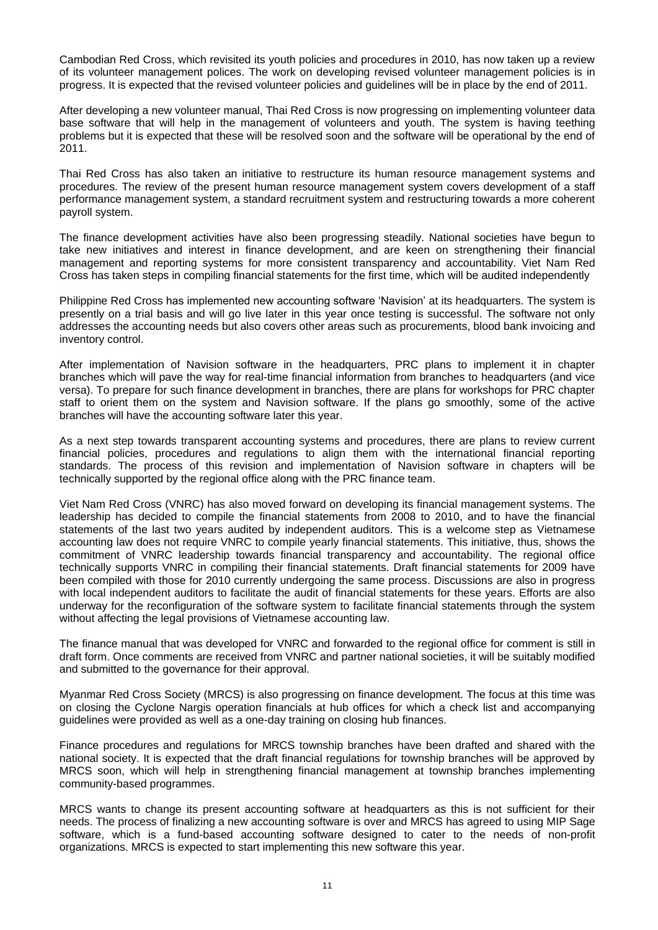Cambodian Red Cross, which revisited its youth policies and procedures in 2010, has now taken up a review of its volunteer management polices. The work on developing revised volunteer management policies is in progress. It is expected that the revised volunteer policies and guidelines will be in place by the end of 2011.

After developing a new volunteer manual, Thai Red Cross is now progressing on implementing volunteer data base software that will help in the management of volunteers and youth. The system is having teething problems but it is expected that these will be resolved soon and the software will be operational by the end of 2011.

Thai Red Cross has also taken an initiative to restructure its human resource management systems and procedures. The review of the present human resource management system covers development of a staff performance management system, a standard recruitment system and restructuring towards a more coherent payroll system.

The finance development activities have also been progressing steadily. National societies have begun to take new initiatives and interest in finance development, and are keen on strengthening their financial management and reporting systems for more consistent transparency and accountability. Viet Nam Red Cross has taken steps in compiling financial statements for the first time, which will be audited independently

Philippine Red Cross has implemented new accounting software "Navision" at its headquarters. The system is presently on a trial basis and will go live later in this year once testing is successful. The software not only addresses the accounting needs but also covers other areas such as procurements, blood bank invoicing and inventory control.

After implementation of Navision software in the headquarters, PRC plans to implement it in chapter branches which will pave the way for real-time financial information from branches to headquarters (and vice versa). To prepare for such finance development in branches, there are plans for workshops for PRC chapter staff to orient them on the system and Navision software. If the plans go smoothly, some of the active branches will have the accounting software later this year.

As a next step towards transparent accounting systems and procedures, there are plans to review current financial policies, procedures and regulations to align them with the international financial reporting standards. The process of this revision and implementation of Navision software in chapters will be technically supported by the regional office along with the PRC finance team.

Viet Nam Red Cross (VNRC) has also moved forward on developing its financial management systems. The leadership has decided to compile the financial statements from 2008 to 2010, and to have the financial statements of the last two years audited by independent auditors. This is a welcome step as Vietnamese accounting law does not require VNRC to compile yearly financial statements. This initiative, thus, shows the commitment of VNRC leadership towards financial transparency and accountability. The regional office technically supports VNRC in compiling their financial statements. Draft financial statements for 2009 have been compiled with those for 2010 currently undergoing the same process. Discussions are also in progress with local independent auditors to facilitate the audit of financial statements for these years. Efforts are also underway for the reconfiguration of the software system to facilitate financial statements through the system without affecting the legal provisions of Vietnamese accounting law.

The finance manual that was developed for VNRC and forwarded to the regional office for comment is still in draft form. Once comments are received from VNRC and partner national societies, it will be suitably modified and submitted to the governance for their approval.

Myanmar Red Cross Society (MRCS) is also progressing on finance development. The focus at this time was on closing the Cyclone Nargis operation financials at hub offices for which a check list and accompanying guidelines were provided as well as a one-day training on closing hub finances.

Finance procedures and regulations for MRCS township branches have been drafted and shared with the national society. It is expected that the draft financial regulations for township branches will be approved by MRCS soon, which will help in strengthening financial management at township branches implementing community-based programmes.

MRCS wants to change its present accounting software at headquarters as this is not sufficient for their needs. The process of finalizing a new accounting software is over and MRCS has agreed to using MIP Sage software, which is a fund-based accounting software designed to cater to the needs of non-profit organizations. MRCS is expected to start implementing this new software this year.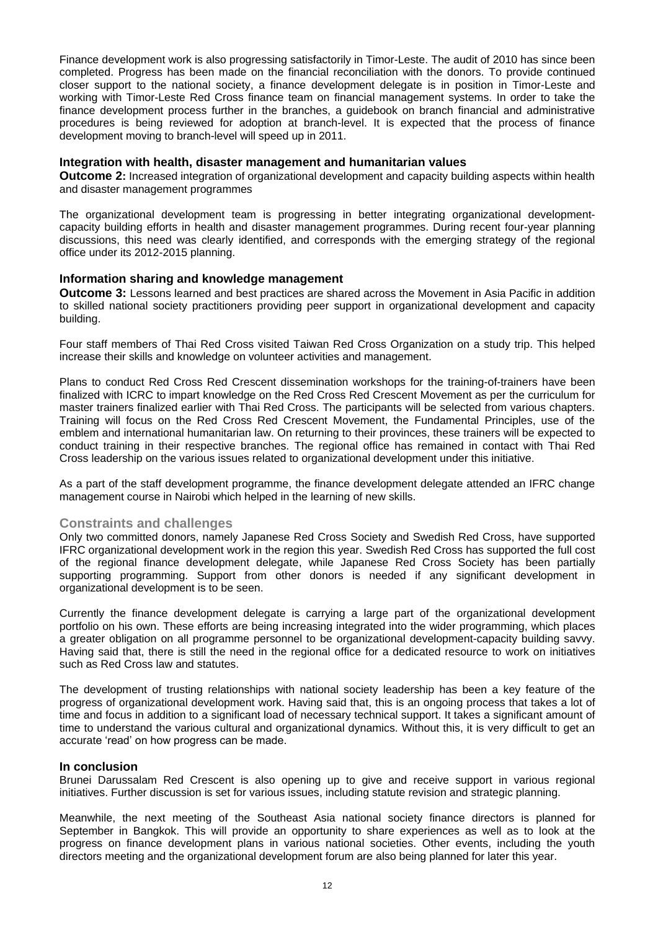Finance development work is also progressing satisfactorily in Timor-Leste. The audit of 2010 has since been completed. Progress has been made on the financial reconciliation with the donors. To provide continued closer support to the national society, a finance development delegate is in position in Timor-Leste and working with Timor-Leste Red Cross finance team on financial management systems. In order to take the finance development process further in the branches, a guidebook on branch financial and administrative procedures is being reviewed for adoption at branch-level. It is expected that the process of finance development moving to branch-level will speed up in 2011.

#### **Integration with health, disaster management and humanitarian values**

**Outcome 2:** Increased integration of organizational development and capacity building aspects within health and disaster management programmes

The organizational development team is progressing in better integrating organizational developmentcapacity building efforts in health and disaster management programmes. During recent four-year planning discussions, this need was clearly identified, and corresponds with the emerging strategy of the regional office under its 2012-2015 planning.

#### **Information sharing and knowledge management**

**Outcome 3:** Lessons learned and best practices are shared across the Movement in Asia Pacific in addition to skilled national society practitioners providing peer support in organizational development and capacity building.

Four staff members of Thai Red Cross visited Taiwan Red Cross Organization on a study trip. This helped increase their skills and knowledge on volunteer activities and management.

Plans to conduct Red Cross Red Crescent dissemination workshops for the training-of-trainers have been finalized with ICRC to impart knowledge on the Red Cross Red Crescent Movement as per the curriculum for master trainers finalized earlier with Thai Red Cross. The participants will be selected from various chapters. Training will focus on the Red Cross Red Crescent Movement, the Fundamental Principles, use of the emblem and international humanitarian law. On returning to their provinces, these trainers will be expected to conduct training in their respective branches. The regional office has remained in contact with Thai Red Cross leadership on the various issues related to organizational development under this initiative.

As a part of the staff development programme, the finance development delegate attended an IFRC change management course in Nairobi which helped in the learning of new skills.

## **Constraints and challenges**

Only two committed donors, namely Japanese Red Cross Society and Swedish Red Cross, have supported IFRC organizational development work in the region this year. Swedish Red Cross has supported the full cost of the regional finance development delegate, while Japanese Red Cross Society has been partially supporting programming. Support from other donors is needed if any significant development in organizational development is to be seen.

Currently the finance development delegate is carrying a large part of the organizational development portfolio on his own. These efforts are being increasing integrated into the wider programming, which places a greater obligation on all programme personnel to be organizational development-capacity building savvy. Having said that, there is still the need in the regional office for a dedicated resource to work on initiatives such as Red Cross law and statutes.

The development of trusting relationships with national society leadership has been a key feature of the progress of organizational development work. Having said that, this is an ongoing process that takes a lot of time and focus in addition to a significant load of necessary technical support. It takes a significant amount of time to understand the various cultural and organizational dynamics. Without this, it is very difficult to get an accurate "read" on how progress can be made.

#### **In conclusion**

Brunei Darussalam Red Crescent is also opening up to give and receive support in various regional initiatives. Further discussion is set for various issues, including statute revision and strategic planning.

Meanwhile, the next meeting of the Southeast Asia national society finance directors is planned for September in Bangkok. This will provide an opportunity to share experiences as well as to look at the progress on finance development plans in various national societies. Other events, including the youth directors meeting and the organizational development forum are also being planned for later this year.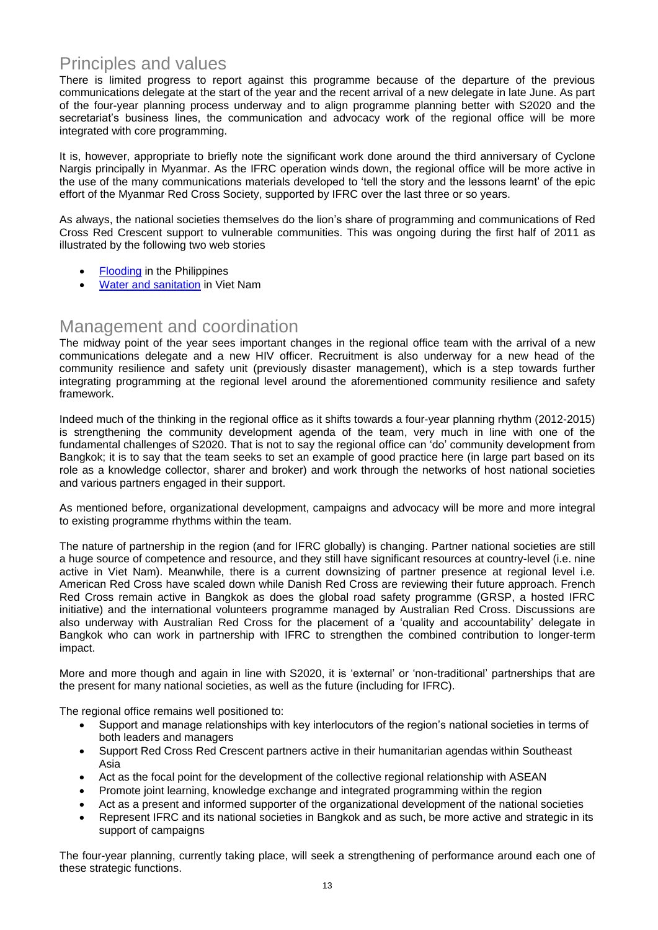## Principles and values

There is limited progress to report against this programme because of the departure of the previous communications delegate at the start of the year and the recent arrival of a new delegate in late June. As part of the four-year planning process underway and to align programme planning better with S2020 and the secretariat's business lines, the communication and advocacy work of the regional office will be more integrated with core programming.

It is, however, appropriate to briefly note the significant work done around the third anniversary of Cyclone Nargis principally in Myanmar. As the IFRC operation winds down, the regional office will be more active in the use of the many communications materials developed to "tell the story and the lessons learnt" of the epic effort of the Myanmar Red Cross Society, supported by IFRC over the last three or so years.

As always, the national societies themselves do the lion"s share of programming and communications of Red Cross Red Crescent support to vulnerable communities. This was ongoing during the first half of 2011 as illustrated by the following two web stories

- **[Flooding](http://www.ifrc.org/en/news-and-media/news-stories/asia-pacific/philippines/philippines-red-cross-acts-as-storms-monsoon-rains-and-floods-affect-thousands-/)** in the Philippines
- [Water and sanitation](http://www.ifrc.org/news-and-media/news-stories/asia-pacific/vietnam/children-lead-the-way-in-spreading-the-clean-water-message-in-viet-nam/) in Viet Nam

## Management and coordination

The midway point of the year sees important changes in the regional office team with the arrival of a new communications delegate and a new HIV officer. Recruitment is also underway for a new head of the community resilience and safety unit (previously disaster management), which is a step towards further integrating programming at the regional level around the aforementioned community resilience and safety framework.

Indeed much of the thinking in the regional office as it shifts towards a four-year planning rhythm (2012-2015) is strengthening the community development agenda of the team, very much in line with one of the fundamental challenges of S2020. That is not to say the regional office can "do" community development from Bangkok; it is to say that the team seeks to set an example of good practice here (in large part based on its role as a knowledge collector, sharer and broker) and work through the networks of host national societies and various partners engaged in their support.

As mentioned before, organizational development, campaigns and advocacy will be more and more integral to existing programme rhythms within the team.

The nature of partnership in the region (and for IFRC globally) is changing. Partner national societies are still a huge source of competence and resource, and they still have significant resources at country-level (i.e. nine active in Viet Nam). Meanwhile, there is a current downsizing of partner presence at regional level i.e. American Red Cross have scaled down while Danish Red Cross are reviewing their future approach. French Red Cross remain active in Bangkok as does the global road safety programme (GRSP, a hosted IFRC initiative) and the international volunteers programme managed by Australian Red Cross. Discussions are also underway with Australian Red Cross for the placement of a "quality and accountability" delegate in Bangkok who can work in partnership with IFRC to strengthen the combined contribution to longer-term impact.

More and more though and again in line with S2020, it is "external" or "non-traditional" partnerships that are the present for many national societies, as well as the future (including for IFRC).

The regional office remains well positioned to:

- Support and manage relationships with key interlocutors of the region"s national societies in terms of both leaders and managers
- Support Red Cross Red Crescent partners active in their humanitarian agendas within Southeast Asia
- Act as the focal point for the development of the collective regional relationship with ASEAN
- Promote joint learning, knowledge exchange and integrated programming within the region
- Act as a present and informed supporter of the organizational development of the national societies
- Represent IFRC and its national societies in Bangkok and as such, be more active and strategic in its support of campaigns

The four-year planning, currently taking place, will seek a strengthening of performance around each one of these strategic functions.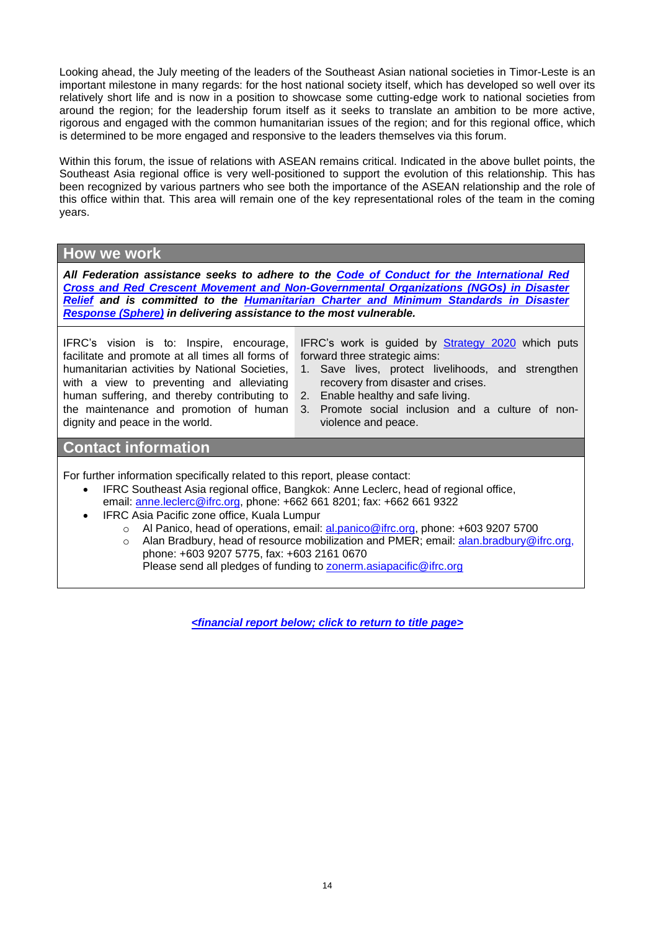Looking ahead, the July meeting of the leaders of the Southeast Asian national societies in Timor-Leste is an important milestone in many regards: for the host national society itself, which has developed so well over its relatively short life and is now in a position to showcase some cutting-edge work to national societies from around the region; for the leadership forum itself as it seeks to translate an ambition to be more active, rigorous and engaged with the common humanitarian issues of the region; and for this regional office, which is determined to be more engaged and responsive to the leaders themselves via this forum.

Within this forum, the issue of relations with ASEAN remains critical. Indicated in the above bullet points, the Southeast Asia regional office is very well-positioned to support the evolution of this relationship. This has been recognized by various partners who see both the importance of the ASEAN relationship and the role of this office within that. This area will remain one of the key representational roles of the team in the coming years.

## **How we work**

*All Federation assistance seeks to adhere to the [Code of Conduct for the International Red](http://www.ifrc.org/publicat/code.asp)  [Cross and Red Crescent Movement and Non-Governmental Organizations \(NGOs\) in Disaster](http://www.ifrc.org/publicat/code.asp)  [Relief](http://www.ifrc.org/publicat/code.asp) and is committed to the [Humanitarian Charter and Minimum Standards in Disaster](http://www.sphereproject.org/)  [Response](http://www.sphereproject.org/) (Sphere) in delivering assistance to the most vulnerable.*

IFRC"s vision is to: Inspire, encourage, facilitate and promote at all times all forms of humanitarian activities by National Societies, with a view to preventing and alleviating human suffering, and thereby contributing to the maintenance and promotion of human dignity and peace in the world.

IFRC's work is guided by **[Strategy 2020](http://www.ifrc.org/en/who-we-are/vision-and-mission/strategy-2020/)** which puts forward three strategic aims:

- 1. Save lives, protect livelihoods, and strengthen recovery from disaster and crises.
- 2. Enable healthy and safe living.
- 3. Promote social inclusion and a culture of nonviolence and peace.

## **Contact information**

For further information specifically related to this report, please contact:

- IFRC Southeast Asia regional office, Bangkok: Anne Leclerc, head of regional office, email: [anne.leclerc@ifrc.org,](mailto:anne.leclerc@ifrc.org) phone: +662 661 8201; fax: +662 661 9322
- IFRC Asia Pacific zone office, Kuala Lumpur
	- o Al Panico, head of operations, email: [al.panico@ifrc.org,](mailto:al.panico@ifrc.org) phone: +603 9207 5700
	- o Alan Bradbury, head of resource mobilization and PMER; email: [alan.bradbury@ifrc.org,](mailto:alan.bradbury@ifrc.org) phone: +603 9207 5775, fax: +603 2161 0670 Please send all pledges of funding to [zonerm.asiapacific@ifrc.org](mailto:zonerm.asiapacific@ifrc.org)

*<financial report below[; click to return to title page>](#page-0-0)*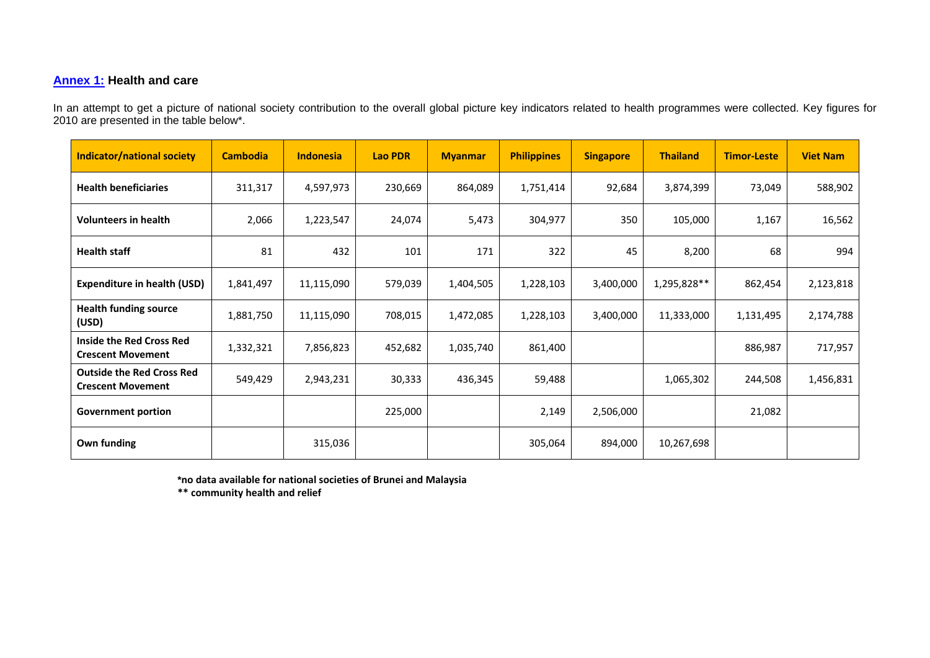## <span id="page-14-0"></span>**[Annex 1:](#page-8-0) Health and care**

In an attempt to get a picture of national society contribution to the overall global picture key indicators related to health programmes were collected. Key figures for 2010 are presented in the table below\*.

| <b>Indicator/national society</b>                            | <b>Cambodia</b> | <b>Indonesia</b> | <b>Lao PDR</b> | <b>Myanmar</b> | <b>Philippines</b> | <b>Singapore</b> | <b>Thailand</b> | <b>Timor-Leste</b> | <b>Viet Nam</b> |
|--------------------------------------------------------------|-----------------|------------------|----------------|----------------|--------------------|------------------|-----------------|--------------------|-----------------|
| <b>Health beneficiaries</b>                                  | 311,317         | 4,597,973        | 230,669        | 864,089        | 1,751,414          | 92,684           | 3,874,399       | 73,049             | 588,902         |
| <b>Volunteers in health</b>                                  | 2,066           | 1,223,547        | 24,074         | 5,473          | 304,977            | 350              | 105,000         | 1,167              | 16,562          |
| <b>Health staff</b>                                          | 81              | 432              | 101            | 171            | 322                | 45               | 8,200           | 68                 | 994             |
| <b>Expenditure in health (USD)</b>                           | 1,841,497       | 11,115,090       | 579,039        | 1,404,505      | 1,228,103          | 3,400,000        | 1,295,828**     | 862,454            | 2,123,818       |
| <b>Health funding source</b><br>(USD)                        | 1,881,750       | 11,115,090       | 708,015        | 1,472,085      | 1,228,103          | 3,400,000        | 11,333,000      | 1,131,495          | 2,174,788       |
| Inside the Red Cross Red<br><b>Crescent Movement</b>         | 1,332,321       | 7,856,823        | 452,682        | 1,035,740      | 861,400            |                  |                 | 886,987            | 717,957         |
| <b>Outside the Red Cross Red</b><br><b>Crescent Movement</b> | 549,429         | 2,943,231        | 30,333         | 436,345        | 59,488             |                  | 1,065,302       | 244,508            | 1,456,831       |
| <b>Government portion</b>                                    |                 |                  | 225,000        |                | 2,149              | 2,506,000        |                 | 21,082             |                 |
| Own funding                                                  |                 | 315,036          |                |                | 305,064            | 894,000          | 10,267,698      |                    |                 |

**\*no data available for national societies of Brunei and Malaysia**

**\*\* community health and relief**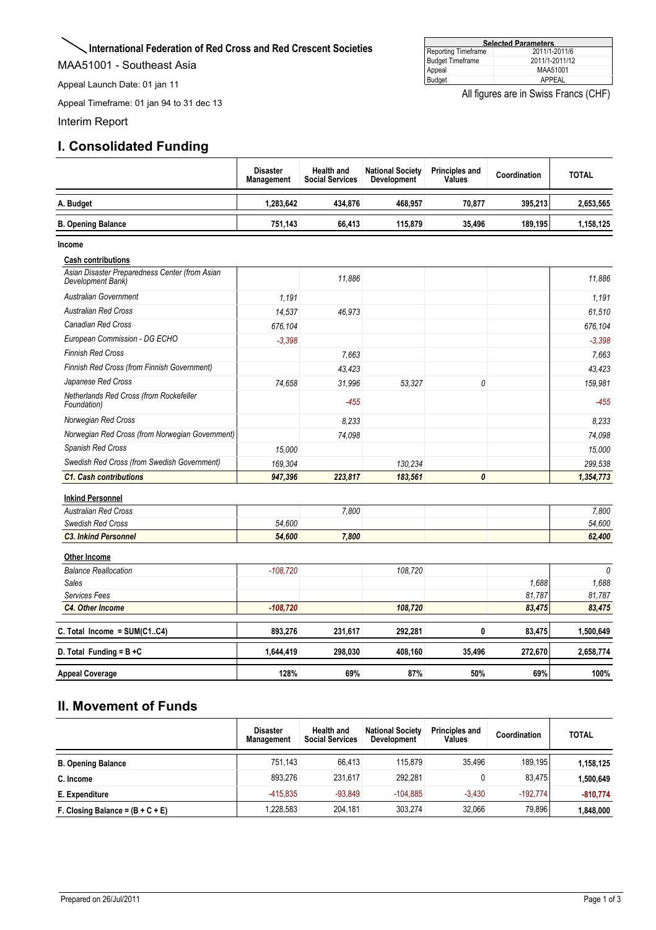## <span id="page-15-0"></span>**International Federation of Red Cross and Red Crescent Societies**

MAA51001 - Southeast Asia

Appeal Launch Date: 01 jan 11

Appeal Timeframe: 01 jan 94 to 31 dec 13

Interim Report

## **I. Consolidated Funding**

| <b>Selected Parameters</b> |                |  |  |  |  |  |  |
|----------------------------|----------------|--|--|--|--|--|--|
| Reporting Timeframe        | 2011/1-2011/6  |  |  |  |  |  |  |
| <b>Budget Timeframe</b>    | 2011/1-2011/12 |  |  |  |  |  |  |
| Appeal                     | MAA51001       |  |  |  |  |  |  |
| Budget                     | APPFAL         |  |  |  |  |  |  |

All figures are in Swiss Francs (CHF)

|                                                                     | <b>Disaster</b><br>Management | <b>Health and</b><br><b>Social Services</b> | <b>National Society</b><br>Development | <b>Principles and</b><br><b>Values</b> | Coordination | <b>TOTAL</b> |
|---------------------------------------------------------------------|-------------------------------|---------------------------------------------|----------------------------------------|----------------------------------------|--------------|--------------|
| A. Budget                                                           | 1,283,642                     | 434.876                                     | 468.957                                | 70.877                                 | 395.213      | 2,653,565    |
| <b>B. Opening Balance</b>                                           | 751,143                       | 66,413                                      | 115,879                                | 35,496                                 | 189,195      | 1,158,125    |
| Income                                                              |                               |                                             |                                        |                                        |              |              |
| <b>Cash contributions</b>                                           |                               |                                             |                                        |                                        |              |              |
| Asian Disaster Preparedness Center (from Asian<br>Development Bank) |                               | 11,886                                      |                                        |                                        |              | 11.886       |
| <b>Australian Government</b>                                        | 1.191                         |                                             |                                        |                                        |              | 1,191        |
| <b>Australian Red Cross</b>                                         | 14,537                        | 46,973                                      |                                        |                                        |              | 61,510       |
| <b>Canadian Red Cross</b>                                           | 676.104                       |                                             |                                        |                                        |              | 676,104      |
| European Commission - DG ECHO                                       | $-3.398$                      |                                             |                                        |                                        |              | $-3.398$     |
| <b>Finnish Red Cross</b>                                            |                               | 7.663                                       |                                        |                                        |              | 7,663        |
| Finnish Red Cross (from Finnish Government)                         |                               | 43,423                                      |                                        |                                        |              | 43,423       |
| Japanese Red Cross                                                  | 74,658                        | 31,996                                      | 53,327                                 | 0                                      |              | 159,981      |
| Netherlands Red Cross (from Rockefeller<br>Foundation)              |                               | $-455$                                      |                                        |                                        |              | $-455$       |
| Norwegian Red Cross                                                 |                               | 8,233                                       |                                        |                                        |              | 8,233        |
| Norwegian Red Cross (from Norwegian Government)                     |                               | 74.098                                      |                                        |                                        |              | 74,098       |
| Spanish Red Cross                                                   | 15,000                        |                                             |                                        |                                        |              | 15,000       |
| Swedish Red Cross (from Swedish Government)                         | 169,304                       |                                             | 130.234                                |                                        |              | 299,538      |
| <b>C1. Cash contributions</b>                                       | 947,396                       | 223,817                                     | 183,561                                | 0                                      |              | 1,354,773    |
| <b>Inkind Personnel</b>                                             |                               |                                             |                                        |                                        |              |              |
| <b>Australian Red Cross</b>                                         |                               | 7,800                                       |                                        |                                        |              | 7,800        |
| <b>Swedish Red Cross</b>                                            | 54,600                        |                                             |                                        |                                        |              | 54,600       |
| <b>C3. Inkind Personnel</b>                                         | 54,600                        | 7,800                                       |                                        |                                        |              | 62,400       |
| <b>Other Income</b>                                                 |                               |                                             |                                        |                                        |              |              |
| <b>Balance Reallocation</b>                                         | $-108,720$                    |                                             | 108,720                                |                                        |              | $\theta$     |
| <b>Sales</b>                                                        |                               |                                             |                                        |                                        | 1,688        | 1,688        |
| Services Fees                                                       |                               |                                             |                                        |                                        | 81,787       | 81,787       |
| C4. Other Income                                                    | $-108,720$                    |                                             | 108,720                                |                                        | 83,475       | 83,475       |
| C. Total Income = SUM(C1C4)                                         | 893,276                       | 231,617                                     | 292,281                                | 0                                      | 83,475       | 1,500,649    |
| D. Total Funding = $B + C$                                          | 1,644,419                     | 298,030                                     | 408,160                                | 35,496                                 | 272,670      | 2,658,774    |
| <b>Appeal Coverage</b>                                              | 128%                          | 69%                                         | 87%                                    | 50%                                    | 69%          | 100%         |

## **II. Movement of Funds**

|                                    | <b>Disaster</b><br><b>Management</b> | Health and<br><b>Social Services</b> | <b>National Society</b><br>Development | <b>Principles and</b><br>Values | Coordination | <b>TOTAL</b> |
|------------------------------------|--------------------------------------|--------------------------------------|----------------------------------------|---------------------------------|--------------|--------------|
| <b>B. Opening Balance</b>          | 751.143                              | 66.413                               | 115.879                                | 35.496                          | 189.195      | 1,158,125    |
| C. Income                          | 893.276                              | 231.617                              | 292.281                                |                                 | 83.475       | 1,500,649    |
| E. Expenditure                     | $-415.835$                           | $-93.849$                            | $-104.885$                             | $-3.430$                        | $-192.774$   | $-810.774$   |
| F. Closing Balance = $(B + C + E)$ | .228,583                             | 204,181                              | 303.274                                | 32.066                          | 79,896       | 1.848.000    |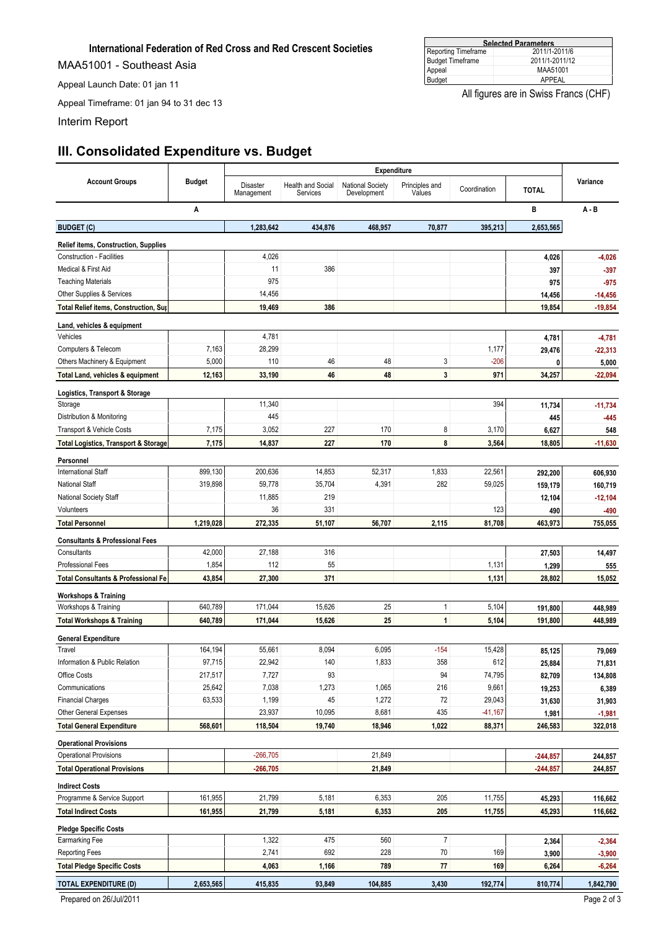## **International Federation of Red Cross and Red Crescent Societies**

MAA51001 - Southeast Asia

Appeal Launch Date: 01 jan 11

Appeal Timeframe: 01 jan 94 to 31 dec 13

Interim Report

## **III. Consolidated Expenditure vs. Budget**

|                                                                                 |               | <b>Expenditure</b>     |                               |                                 |                          |              |                 |                    |
|---------------------------------------------------------------------------------|---------------|------------------------|-------------------------------|---------------------------------|--------------------------|--------------|-----------------|--------------------|
| <b>Account Groups</b>                                                           | <b>Budget</b> | Disaster<br>Management | Health and Social<br>Services | National Society<br>Development | Principles and<br>Values | Coordination | <b>TOTAL</b>    | Variance           |
|                                                                                 | Α             |                        |                               |                                 |                          |              | B               | $A - B$            |
| <b>BUDGET (C)</b>                                                               |               | 1,283,642              | 434,876                       | 468,957                         | 70,877                   | 395,213      | 2,653,565       |                    |
|                                                                                 |               |                        |                               |                                 |                          |              |                 |                    |
| <b>Relief items, Construction, Supplies</b><br><b>Construction - Facilities</b> |               | 4,026                  |                               |                                 |                          |              |                 |                    |
| Medical & First Aid                                                             |               | 11                     | 386                           |                                 |                          |              | 4,026<br>397    | $-4,026$<br>$-397$ |
| <b>Teaching Materials</b>                                                       |               | 975                    |                               |                                 |                          |              | 975             | $-975$             |
| Other Supplies & Services                                                       |               | 14,456                 |                               |                                 |                          |              | 14,456          | $-14,456$          |
| <b>Total Relief items, Construction, Sup</b>                                    |               | 19,469                 | 386                           |                                 |                          |              | 19,854          | $-19,854$          |
|                                                                                 |               |                        |                               |                                 |                          |              |                 |                    |
| Land, vehicles & equipment                                                      |               |                        |                               |                                 |                          |              |                 |                    |
| Vehicles                                                                        |               | 4,781                  |                               |                                 |                          |              | 4,781           | $-4,781$           |
| Computers & Telecom                                                             | 7,163         | 28,299                 |                               |                                 |                          | 1,177        | 29,476          | $-22,313$          |
| Others Machinery & Equipment                                                    | 5,000         | 110                    | 46                            | 48                              | 3                        | $-206$       | 0               | 5,000              |
| Total Land, vehicles & equipment                                                | 12,163        | 33,190                 | 46                            | 48                              | 3                        | 971          | 34,257          | $-22,094$          |
| Logistics, Transport & Storage                                                  |               |                        |                               |                                 |                          |              |                 |                    |
| Storage                                                                         |               | 11,340                 |                               |                                 |                          | 394          | 11,734          | $-11,734$          |
| Distribution & Monitoring                                                       |               | 445                    |                               |                                 |                          |              | 445             | $-445$             |
| Transport & Vehicle Costs                                                       | 7,175         | 3,052                  | 227                           | 170                             | 8                        | 3,170        | 6,627           | 548                |
| <b>Total Logistics, Transport &amp; Storage</b>                                 | 7,175         | 14,837                 | 227                           | 170                             | 8                        | 3,564        | 18,805          | $-11,630$          |
| Personnel                                                                       |               |                        |                               |                                 |                          |              |                 |                    |
| <b>International Staff</b>                                                      | 899,130       | 200,636                | 14,853                        | 52,317                          | 1,833                    | 22,561       | 292,200         | 606,930            |
| <b>National Staff</b>                                                           | 319,898       | 59,778                 | 35,704                        | 4,391                           | 282                      | 59,025       | 159,179         | 160,719            |
| National Society Staff                                                          |               | 11,885                 | 219                           |                                 |                          |              | 12,104          | $-12,104$          |
| Volunteers                                                                      |               | 36                     | 331                           |                                 |                          | 123          | 490             | -490               |
| <b>Total Personnel</b>                                                          | 1,219,028     | 272,335                | 51,107                        | 56,707                          | 2,115                    | 81,708       | 463,973         | 755,055            |
|                                                                                 |               |                        |                               |                                 |                          |              |                 |                    |
| <b>Consultants &amp; Professional Fees</b><br>Consultants                       | 42,000        | 27,188                 | 316                           |                                 |                          |              |                 |                    |
| <b>Professional Fees</b>                                                        | 1,854         | 112                    | 55                            |                                 |                          | 1,131        | 27,503<br>1,299 | 14,497<br>555      |
| <b>Total Consultants &amp; Professional Fe</b>                                  | 43,854        | 27,300                 | 371                           |                                 |                          | 1,131        | 28,802          | 15,052             |
|                                                                                 |               |                        |                               |                                 |                          |              |                 |                    |
| <b>Workshops &amp; Training</b>                                                 |               |                        |                               |                                 |                          |              |                 |                    |
| Workshops & Training                                                            | 640,789       | 171,044                | 15,626                        | 25                              | $\mathbf{1}$             | 5,104        | 191,800         | 448,989            |
| <b>Total Workshops &amp; Training</b>                                           | 640,789       | 171,044                | 15,626                        | 25                              | $\mathbf{1}$             | 5,104        | 191,800         | 448,989            |
| <b>General Expenditure</b>                                                      |               |                        |                               |                                 |                          |              |                 |                    |
| Travel                                                                          | 164,194       | 55,661                 | 8,094                         | 6,095                           | $-154$                   | 15,428       | 85,125          | 79,069             |
| Information & Public Relation                                                   | 97,715        | 22,942                 | 140                           | 1,833                           | 358                      | 612          | 25,884          | 71,831             |
| Office Costs                                                                    | 217,517       | 7,727                  | 93                            |                                 | 94                       | 74,795       | 82,709          | 134,808            |
| Communications                                                                  | 25,642        | 7,038                  | 1,273                         | 1,065                           | 216                      | 9,661        | 19,253          | 6,389              |
| <b>Financial Charges</b>                                                        | 63,533        | 1,199                  | 45                            | 1,272                           | $72\,$                   | 29,043       | 31,630          | 31,903             |
| Other General Expenses                                                          |               | 23,937                 | 10,095                        | 8,681                           | 435                      | $-41,167$    | 1,981           | $-1,981$           |
| <b>Total General Expenditure</b>                                                | 568,601       | 118,504                | 19,740                        | 18,946                          | 1,022                    | 88,371       | 246,583         | 322,018            |
| <b>Operational Provisions</b>                                                   |               |                        |                               |                                 |                          |              |                 |                    |
| <b>Operational Provisions</b>                                                   |               | $-266,705$             |                               | 21,849                          |                          |              | $-244,857$      | 244,857            |
| <b>Total Operational Provisions</b>                                             |               | $-266,705$             |                               | 21,849                          |                          |              | $-244,857$      | 244,857            |
|                                                                                 |               |                        |                               |                                 |                          |              |                 |                    |
| <b>Indirect Costs</b><br>Programme & Service Support                            | 161,955       | 21,799                 | 5,181                         | 6,353                           | 205                      | 11,755       |                 |                    |
|                                                                                 |               |                        |                               |                                 |                          |              | 45,293          | 116,662            |
| <b>Total Indirect Costs</b>                                                     | 161,955       | 21,799                 | 5,181                         | 6,353                           | 205                      | 11,755       | 45,293          | 116,662            |
| <b>Pledge Specific Costs</b>                                                    |               |                        |                               |                                 |                          |              |                 |                    |
| <b>Earmarking Fee</b>                                                           |               | 1,322                  | 475                           | 560                             | $\overline{7}$           |              | 2,364           | $-2,364$           |
| <b>Reporting Fees</b>                                                           |               | 2,741                  | 692                           | 228                             | $70\,$                   | 169          | 3,900           | $-3,900$           |
| <b>Total Pledge Specific Costs</b>                                              |               | 4,063                  | 1,166                         | 789                             | ${\bf 77}$               | 169          | 6,264           | -6,264             |
| <b>TOTAL EXPENDITURE (D)</b>                                                    | 2,653,565     | 415,835                | 93,849                        | 104,885                         | 3,430                    | 192,774      | 810,774         | 1,842,790          |

All figures are in Swiss Francs (CHF)